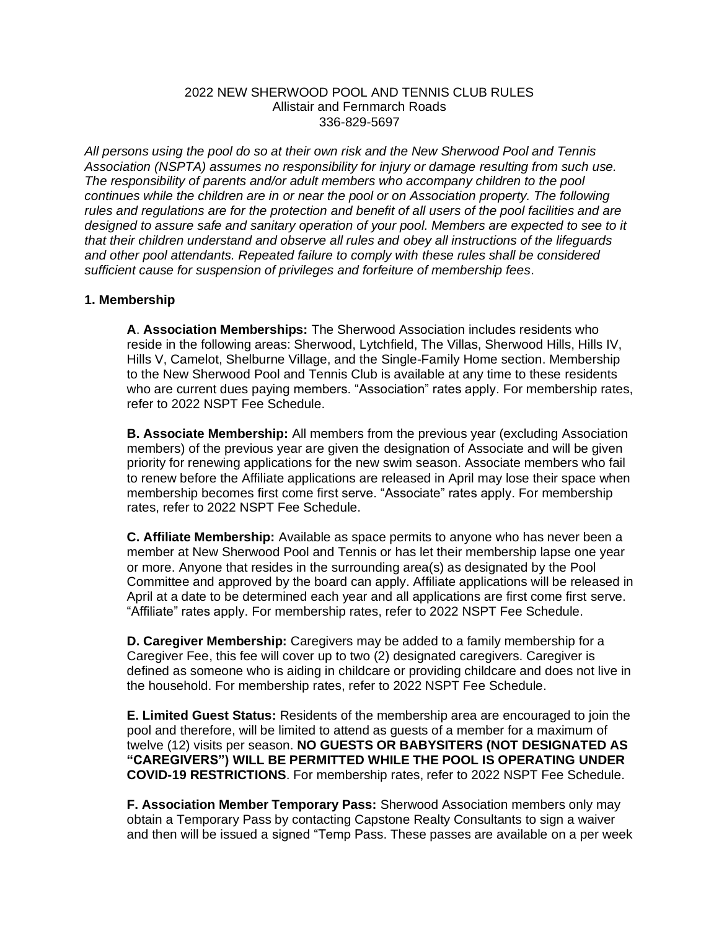#### 2022 NEW SHERWOOD POOL AND TENNIS CLUB RULES Allistair and Fernmarch Roads 336-829-5697

*All persons using the pool do so at their own risk and the New Sherwood Pool and Tennis Association (NSPTA) assumes no responsibility for injury or damage resulting from such use. The responsibility of parents and/or adult members who accompany children to the pool continues while the children are in or near the pool or on Association property. The following rules and regulations are for the protection and benefit of all users of the pool facilities and are designed to assure safe and sanitary operation of your pool. Members are expected to see to it that their children understand and observe all rules and obey all instructions of the lifeguards and other pool attendants. Repeated failure to comply with these rules shall be considered sufficient cause for suspension of privileges and forfeiture of membership fees*.

#### **1. Membership**

**A**. **Association Memberships:** The Sherwood Association includes residents who reside in the following areas: Sherwood, Lytchfield, The Villas, Sherwood Hills, Hills IV, Hills V, Camelot, Shelburne Village, and the Single-Family Home section. Membership to the New Sherwood Pool and Tennis Club is available at any time to these residents who are current dues paying members. "Association" rates apply. For membership rates, refer to 2022 NSPT Fee Schedule.

**B. Associate Membership:** All members from the previous year (excluding Association members) of the previous year are given the designation of Associate and will be given priority for renewing applications for the new swim season. Associate members who fail to renew before the Affiliate applications are released in April may lose their space when membership becomes first come first serve. "Associate" rates apply. For membership rates, refer to 2022 NSPT Fee Schedule.

**C. Affiliate Membership:** Available as space permits to anyone who has never been a member at New Sherwood Pool and Tennis or has let their membership lapse one year or more. Anyone that resides in the surrounding area(s) as designated by the Pool Committee and approved by the board can apply. Affiliate applications will be released in April at a date to be determined each year and all applications are first come first serve. "Affiliate" rates apply. For membership rates, refer to 2022 NSPT Fee Schedule.

**D. Caregiver Membership:** Caregivers may be added to a family membership for a Caregiver Fee, this fee will cover up to two (2) designated caregivers. Caregiver is defined as someone who is aiding in childcare or providing childcare and does not live in the household. For membership rates, refer to 2022 NSPT Fee Schedule.

**E. Limited Guest Status:** Residents of the membership area are encouraged to join the pool and therefore, will be limited to attend as guests of a member for a maximum of twelve (12) visits per season. **NO GUESTS OR BABYSITERS (NOT DESIGNATED AS "CAREGIVERS") WILL BE PERMITTED WHILE THE POOL IS OPERATING UNDER COVID-19 RESTRICTIONS**. For membership rates, refer to 2022 NSPT Fee Schedule.

**F. Association Member Temporary Pass:** Sherwood Association members only may obtain a Temporary Pass by contacting Capstone Realty Consultants to sign a waiver and then will be issued a signed "Temp Pass. These passes are available on a per week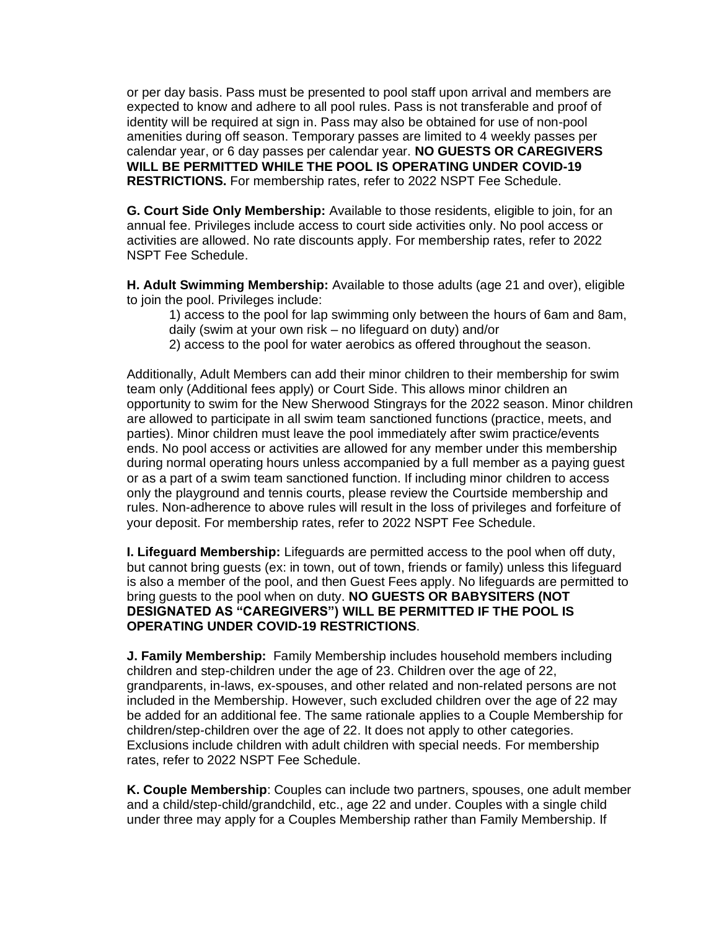or per day basis. Pass must be presented to pool staff upon arrival and members are expected to know and adhere to all pool rules. Pass is not transferable and proof of identity will be required at sign in. Pass may also be obtained for use of non-pool amenities during off season. Temporary passes are limited to 4 weekly passes per calendar year, or 6 day passes per calendar year. **NO GUESTS OR CAREGIVERS WILL BE PERMITTED WHILE THE POOL IS OPERATING UNDER COVID-19 RESTRICTIONS.** For membership rates, refer to 2022 NSPT Fee Schedule.

**G. Court Side Only Membership:** Available to those residents, eligible to join, for an annual fee. Privileges include access to court side activities only. No pool access or activities are allowed. No rate discounts apply. For membership rates, refer to 2022 NSPT Fee Schedule.

**H. Adult Swimming Membership:** Available to those adults (age 21 and over), eligible to join the pool. Privileges include:

1) access to the pool for lap swimming only between the hours of 6am and 8am, daily (swim at your own risk – no lifeguard on duty) and/or

2) access to the pool for water aerobics as offered throughout the season.

Additionally, Adult Members can add their minor children to their membership for swim team only (Additional fees apply) or Court Side. This allows minor children an opportunity to swim for the New Sherwood Stingrays for the 2022 season. Minor children are allowed to participate in all swim team sanctioned functions (practice, meets, and parties). Minor children must leave the pool immediately after swim practice/events ends. No pool access or activities are allowed for any member under this membership during normal operating hours unless accompanied by a full member as a paying guest or as a part of a swim team sanctioned function. If including minor children to access only the playground and tennis courts, please review the Courtside membership and rules. Non-adherence to above rules will result in the loss of privileges and forfeiture of your deposit. For membership rates, refer to 2022 NSPT Fee Schedule.

**I. Lifeguard Membership:** Lifeguards are permitted access to the pool when off duty, but cannot bring guests (ex: in town, out of town, friends or family) unless this lifeguard is also a member of the pool, and then Guest Fees apply. No lifeguards are permitted to bring guests to the pool when on duty. **NO GUESTS OR BABYSITERS (NOT DESIGNATED AS "CAREGIVERS") WILL BE PERMITTED IF THE POOL IS OPERATING UNDER COVID-19 RESTRICTIONS**.

**J. Family Membership:** Family Membership includes household members including children and step-children under the age of 23. Children over the age of 22, grandparents, in-laws, ex-spouses, and other related and non-related persons are not included in the Membership. However, such excluded children over the age of 22 may be added for an additional fee. The same rationale applies to a Couple Membership for children/step-children over the age of 22. It does not apply to other categories. Exclusions include children with adult children with special needs. For membership rates, refer to 2022 NSPT Fee Schedule.

**K. Couple Membership**: Couples can include two partners, spouses, one adult member and a child/step-child/grandchild, etc., age 22 and under. Couples with a single child under three may apply for a Couples Membership rather than Family Membership. If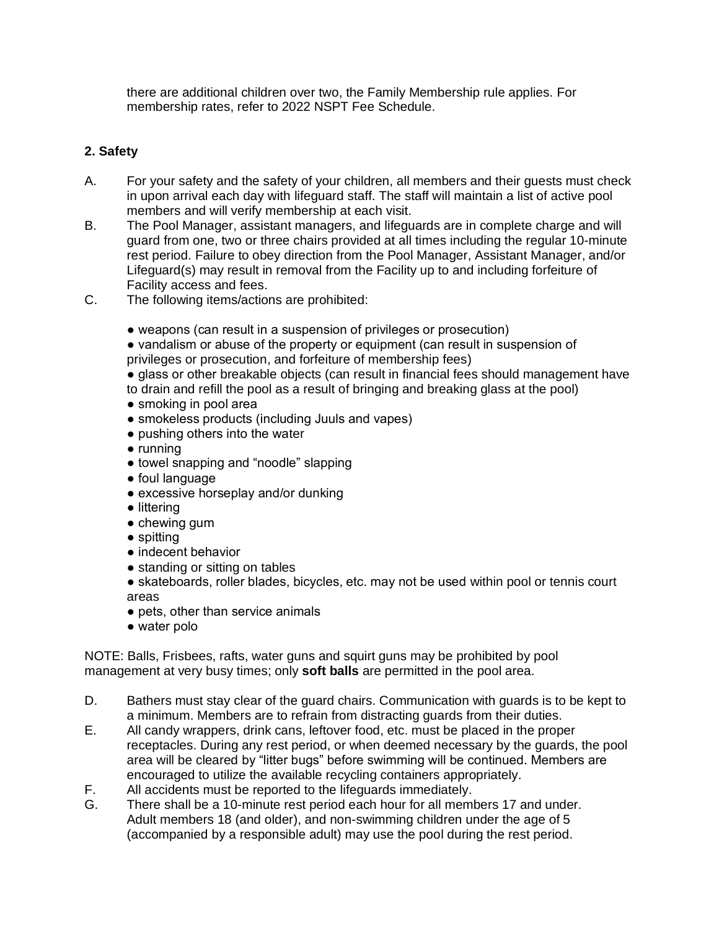there are additional children over two, the Family Membership rule applies. For membership rates, refer to 2022 NSPT Fee Schedule.

## **2. Safety**

- A. For your safety and the safety of your children, all members and their guests must check in upon arrival each day with lifeguard staff. The staff will maintain a list of active pool members and will verify membership at each visit.
- B. The Pool Manager, assistant managers, and lifeguards are in complete charge and will guard from one, two or three chairs provided at all times including the regular 10-minute rest period. Failure to obey direction from the Pool Manager, Assistant Manager, and/or Lifeguard(s) may result in removal from the Facility up to and including forfeiture of Facility access and fees.
- C. The following items/actions are prohibited:
	- weapons (can result in a suspension of privileges or prosecution)
	- vandalism or abuse of the property or equipment (can result in suspension of privileges or prosecution, and forfeiture of membership fees)
	- glass or other breakable objects (can result in financial fees should management have to drain and refill the pool as a result of bringing and breaking glass at the pool)
	- smoking in pool area
	- smokeless products (including Juuls and vapes)
	- pushing others into the water
	- running
	- towel snapping and "noodle" slapping
	- foul language
	- excessive horseplay and/or dunking
	- littering
	- $\bullet$  chewing gum
	- spitting
	- indecent behavior
	- standing or sitting on tables
	- skateboards, roller blades, bicycles, etc. may not be used within pool or tennis court areas
	- pets, other than service animals
	- water polo

NOTE: Balls, Frisbees, rafts, water guns and squirt guns may be prohibited by pool management at very busy times; only **soft balls** are permitted in the pool area.

- D. Bathers must stay clear of the guard chairs. Communication with guards is to be kept to a minimum. Members are to refrain from distracting guards from their duties.
- E. All candy wrappers, drink cans, leftover food, etc. must be placed in the proper receptacles. During any rest period, or when deemed necessary by the guards, the pool area will be cleared by "litter bugs" before swimming will be continued. Members are encouraged to utilize the available recycling containers appropriately.
- F. All accidents must be reported to the lifeguards immediately.
- G. There shall be a 10-minute rest period each hour for all members 17 and under. Adult members 18 (and older), and non-swimming children under the age of 5 (accompanied by a responsible adult) may use the pool during the rest period.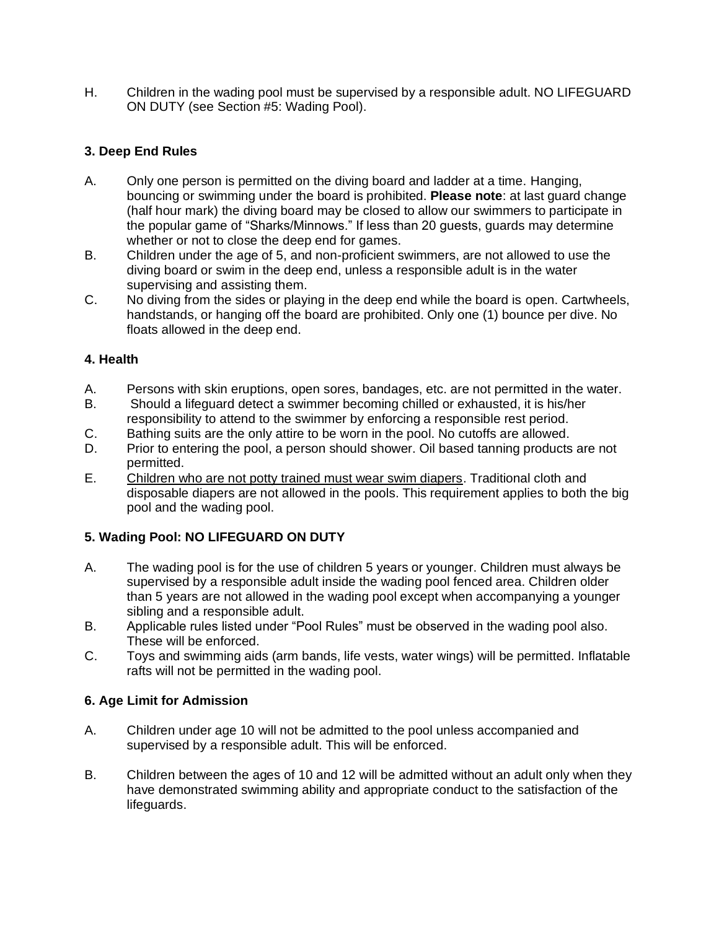H. Children in the wading pool must be supervised by a responsible adult. NO LIFEGUARD ON DUTY (see Section #5: Wading Pool).

## **3. Deep End Rules**

- A. Only one person is permitted on the diving board and ladder at a time. Hanging, bouncing or swimming under the board is prohibited. **Please note**: at last guard change (half hour mark) the diving board may be closed to allow our swimmers to participate in the popular game of "Sharks/Minnows." If less than 20 guests, guards may determine whether or not to close the deep end for games.
- B. Children under the age of 5, and non-proficient swimmers, are not allowed to use the diving board or swim in the deep end, unless a responsible adult is in the water supervising and assisting them.
- C. No diving from the sides or playing in the deep end while the board is open. Cartwheels, handstands, or hanging off the board are prohibited. Only one (1) bounce per dive. No floats allowed in the deep end.

## **4. Health**

- A. Persons with skin eruptions, open sores, bandages, etc. are not permitted in the water.
- B. Should a lifeguard detect a swimmer becoming chilled or exhausted, it is his/her responsibility to attend to the swimmer by enforcing a responsible rest period.
- C. Bathing suits are the only attire to be worn in the pool. No cutoffs are allowed.
- D. Prior to entering the pool, a person should shower. Oil based tanning products are not permitted.
- E. Children who are not potty trained must wear swim diapers. Traditional cloth and disposable diapers are not allowed in the pools. This requirement applies to both the big pool and the wading pool.

# **5. Wading Pool: NO LIFEGUARD ON DUTY**

- A. The wading pool is for the use of children 5 years or younger. Children must always be supervised by a responsible adult inside the wading pool fenced area. Children older than 5 years are not allowed in the wading pool except when accompanying a younger sibling and a responsible adult.
- B. Applicable rules listed under "Pool Rules" must be observed in the wading pool also. These will be enforced.
- C. Toys and swimming aids (arm bands, life vests, water wings) will be permitted. Inflatable rafts will not be permitted in the wading pool.

## **6. Age Limit for Admission**

- A. Children under age 10 will not be admitted to the pool unless accompanied and supervised by a responsible adult. This will be enforced.
- B. Children between the ages of 10 and 12 will be admitted without an adult only when they have demonstrated swimming ability and appropriate conduct to the satisfaction of the lifeguards.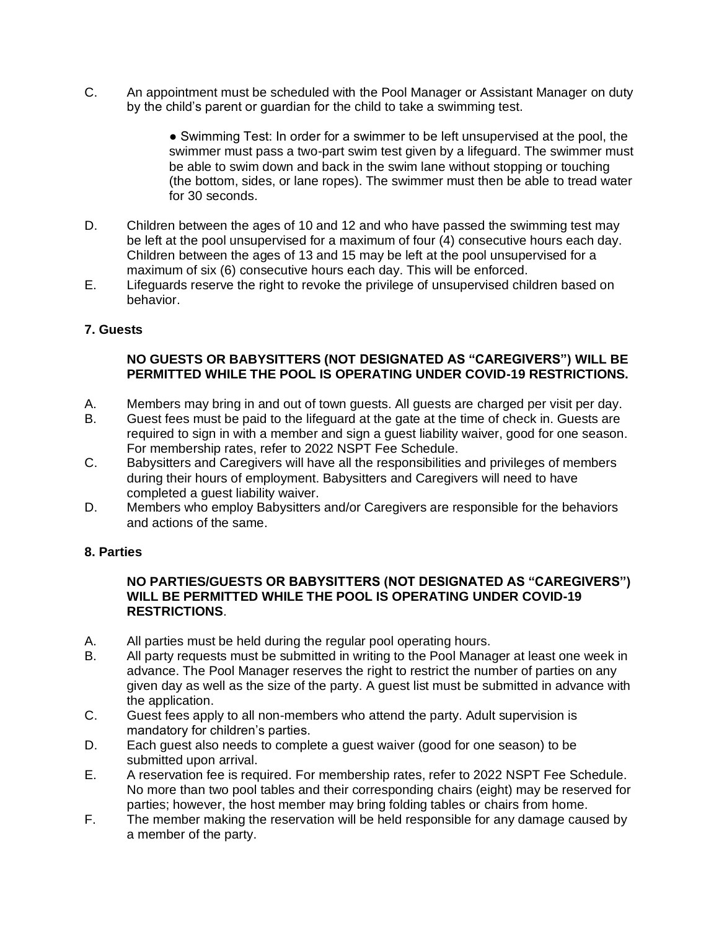C. An appointment must be scheduled with the Pool Manager or Assistant Manager on duty by the child's parent or guardian for the child to take a swimming test.

> ● Swimming Test: In order for a swimmer to be left unsupervised at the pool, the swimmer must pass a two-part swim test given by a lifeguard. The swimmer must be able to swim down and back in the swim lane without stopping or touching (the bottom, sides, or lane ropes). The swimmer must then be able to tread water for 30 seconds.

- D. Children between the ages of 10 and 12 and who have passed the swimming test may be left at the pool unsupervised for a maximum of four (4) consecutive hours each day. Children between the ages of 13 and 15 may be left at the pool unsupervised for a maximum of six (6) consecutive hours each day. This will be enforced.
- E. Lifeguards reserve the right to revoke the privilege of unsupervised children based on behavior.

### **7. Guests**

### **NO GUESTS OR BABYSITTERS (NOT DESIGNATED AS "CAREGIVERS") WILL BE PERMITTED WHILE THE POOL IS OPERATING UNDER COVID-19 RESTRICTIONS.**

- A. Members may bring in and out of town guests. All guests are charged per visit per day.
- B. Guest fees must be paid to the lifeguard at the gate at the time of check in. Guests are required to sign in with a member and sign a guest liability waiver, good for one season. For membership rates, refer to 2022 NSPT Fee Schedule.
- C. Babysitters and Caregivers will have all the responsibilities and privileges of members during their hours of employment. Babysitters and Caregivers will need to have completed a guest liability waiver.
- D. Members who employ Babysitters and/or Caregivers are responsible for the behaviors and actions of the same.

### **8. Parties**

#### **NO PARTIES/GUESTS OR BABYSITTERS (NOT DESIGNATED AS "CAREGIVERS") WILL BE PERMITTED WHILE THE POOL IS OPERATING UNDER COVID-19 RESTRICTIONS**.

- A. All parties must be held during the regular pool operating hours.
- B. All party requests must be submitted in writing to the Pool Manager at least one week in advance. The Pool Manager reserves the right to restrict the number of parties on any given day as well as the size of the party. A guest list must be submitted in advance with the application.
- C. Guest fees apply to all non-members who attend the party. Adult supervision is mandatory for children's parties.
- D. Each guest also needs to complete a guest waiver (good for one season) to be submitted upon arrival.
- E. A reservation fee is required. For membership rates, refer to 2022 NSPT Fee Schedule. No more than two pool tables and their corresponding chairs (eight) may be reserved for parties; however, the host member may bring folding tables or chairs from home.
- F. The member making the reservation will be held responsible for any damage caused by a member of the party.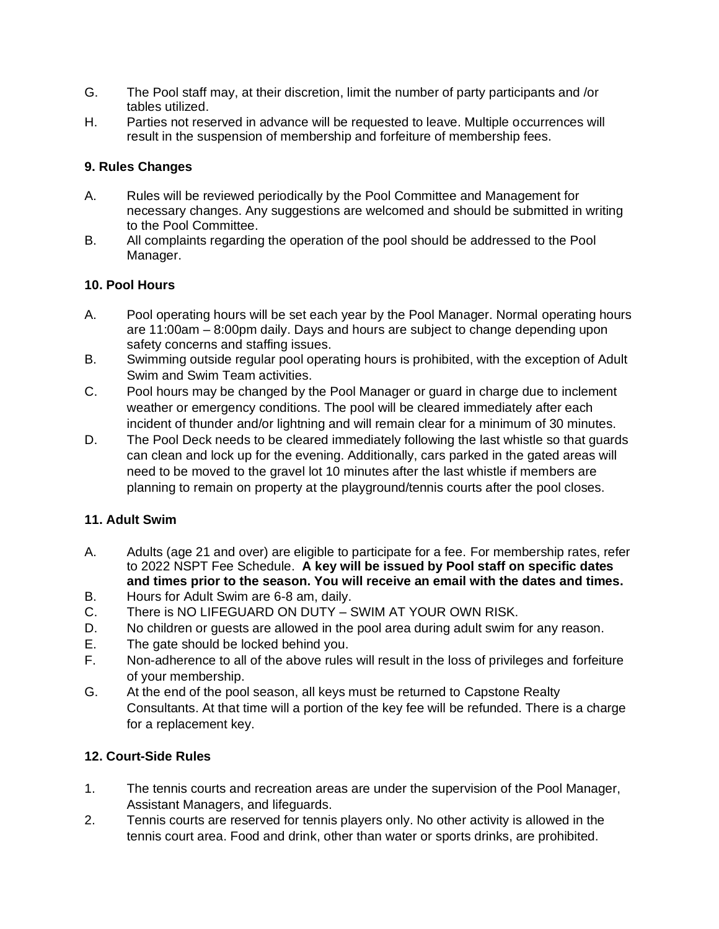- G. The Pool staff may, at their discretion, limit the number of party participants and /or tables utilized.
- H. Parties not reserved in advance will be requested to leave. Multiple occurrences will result in the suspension of membership and forfeiture of membership fees.

### **9. Rules Changes**

- A. Rules will be reviewed periodically by the Pool Committee and Management for necessary changes. Any suggestions are welcomed and should be submitted in writing to the Pool Committee.
- B. All complaints regarding the operation of the pool should be addressed to the Pool Manager.

## **10. Pool Hours**

- A. Pool operating hours will be set each year by the Pool Manager. Normal operating hours are 11:00am – 8:00pm daily. Days and hours are subject to change depending upon safety concerns and staffing issues.
- B. Swimming outside regular pool operating hours is prohibited, with the exception of Adult Swim and Swim Team activities.
- C. Pool hours may be changed by the Pool Manager or guard in charge due to inclement weather or emergency conditions. The pool will be cleared immediately after each incident of thunder and/or lightning and will remain clear for a minimum of 30 minutes.
- D. The Pool Deck needs to be cleared immediately following the last whistle so that guards can clean and lock up for the evening. Additionally, cars parked in the gated areas will need to be moved to the gravel lot 10 minutes after the last whistle if members are planning to remain on property at the playground/tennis courts after the pool closes.

## **11. Adult Swim**

- A. Adults (age 21 and over) are eligible to participate for a fee. For membership rates, refer to 2022 NSPT Fee Schedule. **A key will be issued by Pool staff on specific dates and times prior to the season. You will receive an email with the dates and times.**
- B. Hours for Adult Swim are 6-8 am, daily.
- C. There is NO LIFEGUARD ON DUTY SWIM AT YOUR OWN RISK.
- D. No children or guests are allowed in the pool area during adult swim for any reason.
- E. The gate should be locked behind you.
- F. Non-adherence to all of the above rules will result in the loss of privileges and forfeiture of your membership.
- G. At the end of the pool season, all keys must be returned to Capstone Realty Consultants. At that time will a portion of the key fee will be refunded. There is a charge for a replacement key.

### **12. Court-Side Rules**

- 1. The tennis courts and recreation areas are under the supervision of the Pool Manager, Assistant Managers, and lifeguards.
- 2. Tennis courts are reserved for tennis players only. No other activity is allowed in the tennis court area. Food and drink, other than water or sports drinks, are prohibited.